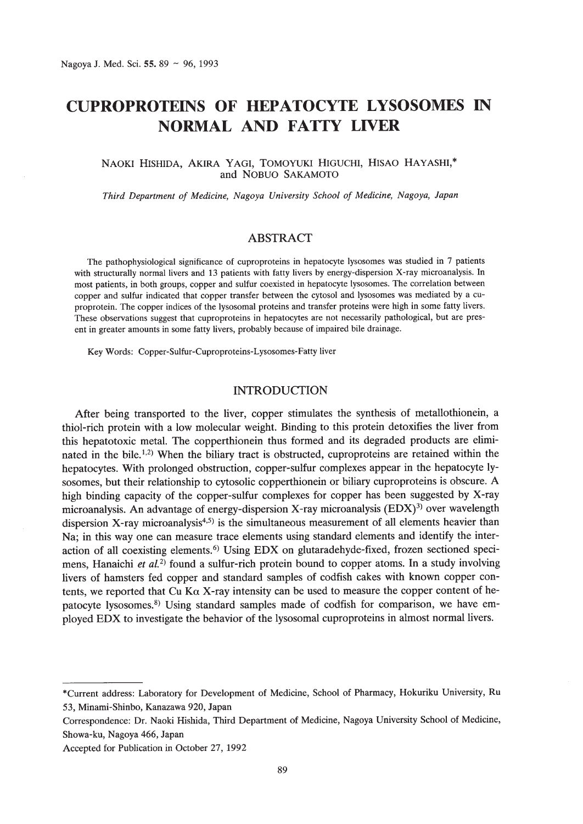# **CUPROPROTEINS OF HEPATOCYTE LYSOSOMES IN NORMAL AND FATTY LIVER**

# NAOKI HISHIDA, AKIRA YAGI, TOMOYUKI HIGUCHI, HISAO HAYASHI,\* and NOBUO SAKAMOTO

*Third Department of Medicine, Nagoya University School of Medicine, Nagoya, Japan*

## ABSTRACT

The pathophysiological significance of cuproproteins in hepatocyte Iysosomes was studied in 7 patients with structurally normal livers and 13 patients with fatty livers by energy-dispersion X-ray microanalysis. In most patients, in both groups, copper and sulfur coexisted in hepatocyte Iysosomes. The correlation between copper and sulfur indicated that copper transfer between the cytosol and lysosomes was mediated by a cuproprotein. The copper indices of the lysosomal proteins and transfer proteins were high in some fatty livers. These observations suggest that cuproproteins in hepatocytes are not necessarily pathological, but are present in greater amounts in some fatty livers, probably because of impaired bile drainage.

Key Words: Copper-Sulfur-Cuproproteins-Lysosomes-Fatty liver

## INTRODUCTION

After being transported to the liver, copper stimulates the synthesis of metallothionein, a thiol-rich protein with a low molecular weight. Binding to this protein detoxifies the liver from this hepatotoxic metal. The copperthionein thus formed and its degraded products are eliminated in the bile.<sup>1,2)</sup> When the biliary tract is obstructed, cuproproteins are retained within the hepatocytes. With prolonged obstruction, copper-sulfur complexes appear in the hepatocyte Iysosomes, but their relationship to cytosolic copperthionein or biliary cuproproteins is obscure. A high binding capacity of the copper-sulfur complexes for copper has been suggested by X-ray microanalysis. An advantage of energy-dispersion X-ray microanalysis (EDX)<sup>3)</sup> over wavelength dispersion X-ray microanalysis<sup>4,5)</sup> is the simultaneous measurement of all elements heavier than Na; in this way one can measure trace elements using standard elements and identify the interaction of all coexisting elements.<sup>6)</sup> Using EDX on glutaradehyde-fixed, frozen sectioned specimens, Hanaichi *et al,2)* found a sulfur-rich protein bound to copper atoms. **In** a study involving livers of hamsters fed copper and standard samples of codfish cakes with known copper contents, we reported that Cu K $\alpha$  X-ray intensity can be used to measure the copper content of hepatocyte lysosomes.<sup>8)</sup> Using standard samples made of codfish for comparison, we have employed EDX to investigate the behavior of the lysosomal cuproproteins in almost normal livers.

<sup>\*</sup>Current address: Laboratory for Development of Medicine, School of Pharmacy, Hokuriku University, Ru 53, Minami-Shinbo, Kanazawa 920, Japan

Correspondence: Dr. Naoki Hishida, Third Department of Medicine, Nagoya University School of Medicine, Showa-ku, Nagoya 466, Japan

Accepted for Publication in October 27,1992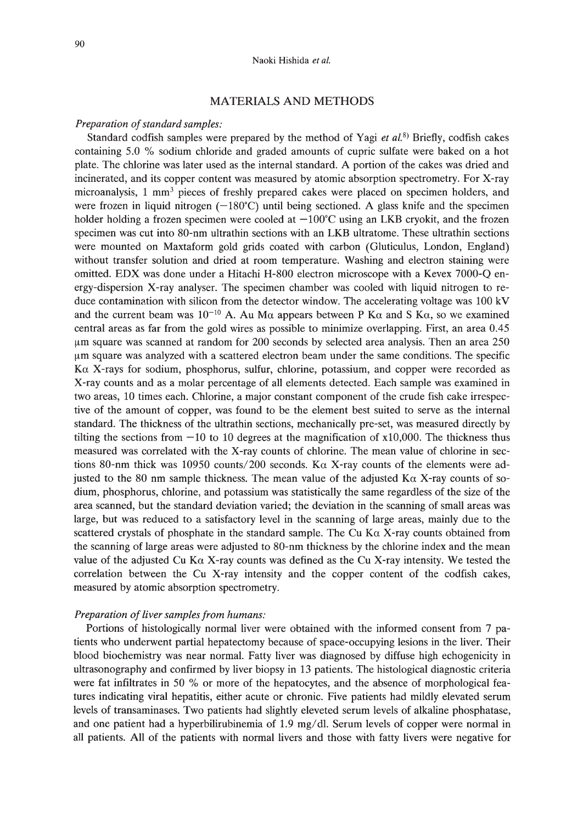# MATERIALS AND METHODS

### *Preparation of standard samples:*

Standard codfish samples were prepared by the method of Yagi *et al.B)* Briefly, codfish cakes containing 5.0 % sodium chloride and graded amounts of cupric sulfate were baked on a hot plate. The chlorine was later used as the internal standard. A portion of the cakes was dried and incinerated, and its copper content was measured by atomic absorption spectrometry. For X-ray microanalysis, 1 mm3 pieces of freshly prepared cakes were placed on specimen holders, and were frozen in liquid nitrogen  $(-180^{\circ}C)$  until being sectioned. A glass knife and the specimen holder holding a frozen specimen were cooled at  $-100^{\circ}$ C using an LKB cryokit, and the frozen specimen was cut into 80-nm ultrathin sections with an LKB ultratome. These ultrathin sections were mounted on Maxtaform gold grids coated with carbon (Gluticulus, London, England) without transfer solution and dried at room temperature. Washing and electron staining were omitted. EDX was done under a Hitachi H-800 electron microscope with a Kevex 7000-Q energy-dispersion X-ray analyser. The specimen chamber was cooled with liquid nitrogen to reduce contamination with silicon from the detector window. The accelerating voltage was 100 kV and the current beam was  $10^{-10}$  A. Au M $\alpha$  appears between P K $\alpha$  and S K $\alpha$ , so we examined central areas as far from the gold wires as possible to minimize overlapping. First, an area 0.45 /lm square was scanned at random for 200 seconds by selected area analysis. Then an area 250 /lm square was analyzed with a scattered electron beam under the same conditions. The specific Ka X-rays for sodium, phosphorus, sulfur, chlorine, potassium, and copper were recorded as X-ray counts and as a molar percentage of all elements detected. Each sample was examined in two areas, 10 times each. Chlorine, a major constant component of the crude fish cake irrespective of the amount of copper, was found to be the element best suited to serve as the internal standard. The thickness of the ultrathin sections, mechanically pre-set, was measured directly by tilting the sections from  $-10$  to 10 degrees at the magnification of  $x10,000$ . The thickness thus measured was correlated with the X-ray counts of chlorine. The mean value of chlorine in sections 80-nm thick was 10950 counts/200 seconds. K $\alpha$  X-ray counts of the elements were adjusted to the 80 nm sample thickness. The mean value of the adjusted  $K\alpha$  X-ray counts of sodium, phosphorus, chlorine, and potassium was statistically the same regardless of the size of the area scanned, but the standard deviation varied; the deviation in the scanning of small areas was large, but was reduced to a satisfactory level in the scanning of large areas, mainly due to the scattered crystals of phosphate in the standard sample. The Cu K $\alpha$  X-ray counts obtained from the scanning of large areas were adjusted to 80-nm thickness by the chlorine index and the mean value of the adjusted Cu K $\alpha$  X-ray counts was defined as the Cu X-ray intensity. We tested the correlation between the Cu X-ray intensity and the copper content of the codfish cakes, measured by atomic absorption spectrometry.

#### *Preparation of liver samples from humans:*

Portions of histologically normal liver were obtained with the informed consent from 7 patients who underwent partial hepatectomy because of space-occupying lesions in the liver. Their blood biochemistry was near normal. Fatty liver was diagnosed by diffuse high echogenicity in ultrasonography and confirmed by liver biopsy in 13 patients. The histological diagnostic criteria were fat infiltrates in 50 % or more of the hepatocytes, and the absence of morphological features indicating viral hepatitis, either acute or chronic. Five patients had mildly elevated serum levels of transaminases. Two patients had slightly eleveted serum levels of alkaline phosphatase, and one patient had a hyperbilirubinemia of 1.9 mg/dl. Serum levels of copper were normal in all patients. All of the patients with normal livers and those with fatty livers were negative for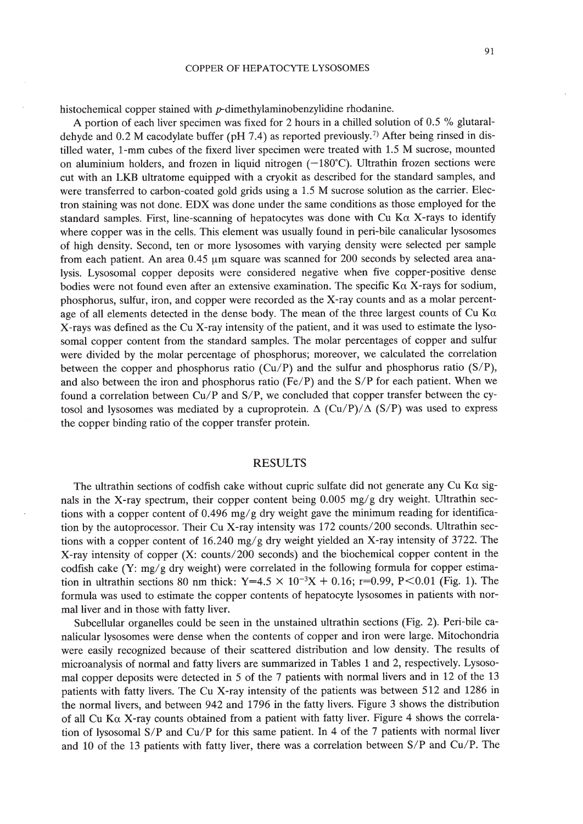histochemical copper stained with p-dimethylaminobenzylidine rhodanine.

A portion of each liver specimen was fixed for 2 hours in a chilled solution of 0.5 % glutaraldehyde and 0.2 M cacodylate buffer (pH 7.4) as reported previously.7) After being rinsed in distilled water, I-mm cubes of the fixerd liver specimen were treated with 1.5 M sucrose, mounted on aluminium holders, and frozen in liquid nitrogen  $(-180^{\circ}C)$ . Ultrathin frozen sections were cut with an LKB ultratome equipped with a cryokit as described for the standard samples, and were transferred to carbon-coated gold grids using a 1.5 M sucrose solution as the carrier. Electron staining was not done. EDX was done under the same conditions as those employed for the standard samples. First, line-scanning of hepatocytes was done with Cu K $\alpha$  X-rays to identify where copper was in the cells. This element was usually found in peri-bile canalicular Iysosomes of high density. Second, ten or more Iysosomes with varying density were selected per sample from each patient. An area  $0.45 \mu m$  square was scanned for 200 seconds by selected area analysis. Lysosomal copper deposits were considered negative when five copper-positive dense bodies were not found even after an extensive examination. The specific  $K\alpha$  X-rays for sodium, phosphorus, sulfur, iron, and copper were recorded as the X-ray counts and as a molar percentage of all elements detected in the dense body. The mean of the three largest counts of Cu K $\alpha$ X-rays was defined as the Cu X-ray intensity of the patient, and it was used to estimate the lysosomal copper content from the standard samples. The molar percentages of copper and sulfur were divided by the molar percentage of phosphorus; moreover, we calculated the correlation between the copper and phosphorus ratio  $(Cu/P)$  and the sulfur and phosphorus ratio  $(S/P)$ , and also between the iron and phosphorus ratio (Fe/P) and the S/P for each patient. When we found a correlation between Cu/P and S/P, we concluded that copper transfer between the cytosol and lysosomes was mediated by a cuproprotein.  $\Delta$  (Cu/P)/ $\Delta$  (S/P) was used to express the copper binding ratio of the copper transfer protein.

## RESULTS

The ultrathin sections of codfish cake without cupric sulfate did not generate any Cu Ka signals in the X-ray spectrum, their copper content being 0.005 mg/g dry weight. Ultrathin sections with a copper content of  $0.496$  mg/g dry weight gave the minimum reading for identification by the autoprocessor. Their Cu X-ray intensity was  $172$  counts/200 seconds. Ultrathin sections with a copper content of 16.240 mg/g dry weight yielded an X-ray intensity of 3722. The X-ray intensity of copper  $(X: counts/200$  seconds) and the biochemical copper content in the codfish cake (Y: mg/g dry weight) were correlated in the following formula for copper estimation in ultrathin sections 80 nm thick: Y=4.5  $\times$  10<sup>-3</sup>X + 0.16; r=0.99, P<0.01 (Fig. 1). The formula was used to estimate the copper contents of hepatocyte Iysosomes in patients with normal liver and in those with fatty liver.

Subcellular organelles could be seen in the unstained ultrathin sections (Fig. 2). Peri-bile canalicular Iysosomes were dense when the contents of copper and iron were large. Mitochondria were easily recognized because of their scattered distribution and low density. The results of microanalysis of normal and fatty livers are summarized in Tables 1 and 2, respectively. Lysosomal copper deposits were detected in 5 of the 7 patients with normal livers and in 12 of the 13 patients with fatty livers. The Cu X-ray intensity of the patients was between 512 and 1286 in the normal livers, and between 942 and 1796 in the fatty livers. Figure 3 shows the distribution of all Cu K $\alpha$  X-ray counts obtained from a patient with fatty liver. Figure 4 shows the correlation of lysosomal *SIP* and *Cu/P* for this same patient. In 4 of the 7 patients with normal liver and 10 of the 13 patients with fatty liver, there was a correlation between *SIP* and *Cu/P.* The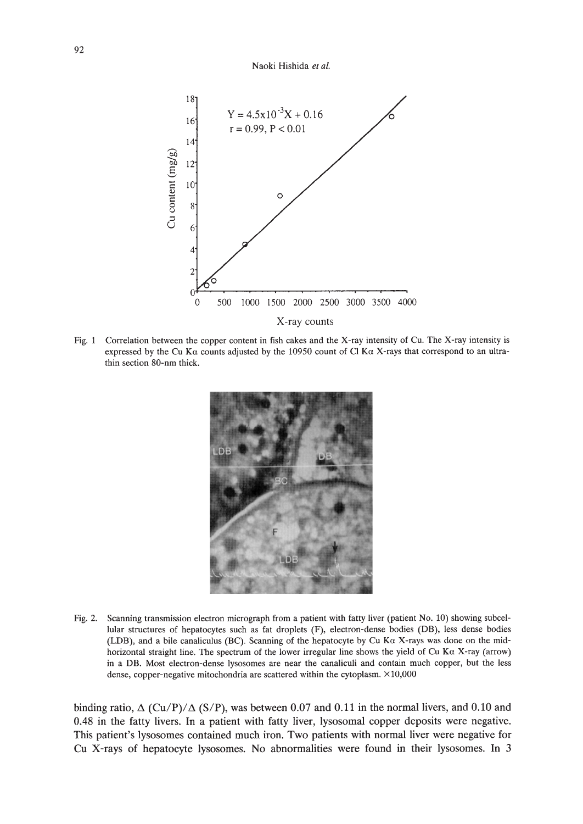#### Naoki Hishida et al.



Fig. 1 Correlation between the copper content in fish cakes and the X-ray intensity of Cu. The X-ray intensity is expressed by the Cu K $\alpha$  counts adjusted by the 10950 count of Cl K $\alpha$  X-rays that correspond to an ultrathin section 80-nm thick.



Fig. 2. Scanning transmission electron micrograph from a patient with fatty liver (patient No. 10) showing subcellular structures of hepatocytes such as fat droplets (F), electron-dense bodies (DB), less dense bodies (LOB), and a bile canaliculus (BC). Scanning of the hepatocyte by Cu Ka X-rays was done on the midhorizontal straight line. The spectrum of the lower irregular line shows the yield of Cu K $\alpha$  X-ray (arrow) in a DB. Most electron-dense lysosomes are near the canaliculi and contain much copper, but the less dense, copper-negative mitochondria are scattered within the cytoplasm. ×10,000

binding ratio,  $\Delta$  (Cu/P)/ $\Delta$  (S/P), was between 0.07 and 0.11 in the normal livers, and 0.10 and 0.48 in the fatty livers. In a patient with fatty liver, lysosomal copper deposits were negative. This patient's Iysosomes contained much iron. Two patients with normal liver were negative for Cu X-rays of hepatocyte Iysosomes. No abnormalities were found in their Iysosomes. In 3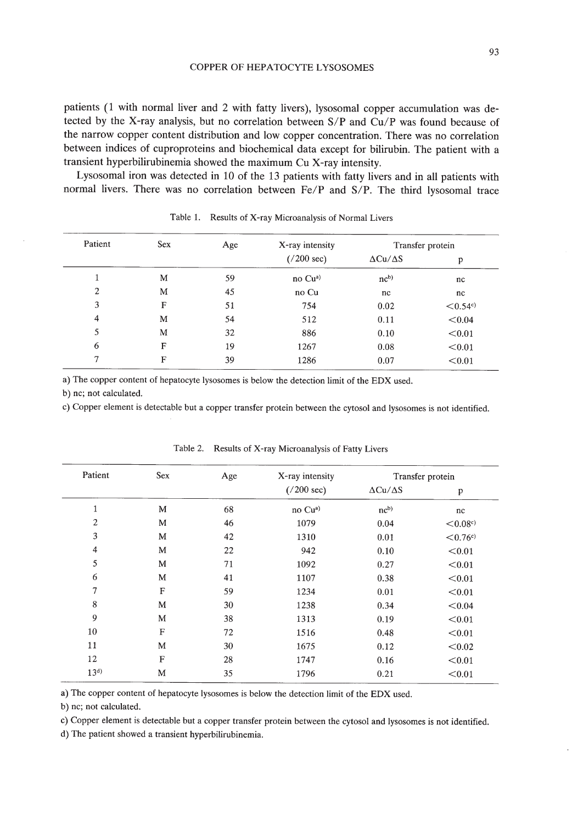patients (1 with normal liver and 2 with fatty livers), lysosomal copper accumulation was detected by the X-ray analysis, but no correlation between *SIP* and *Cu/P* was found because of the narrow copper content distribution and low copper concentration. There was no correlation between indices of cuproproteins and biochemical data except for bilirubin. The patient with a transient hyperbilirubinemia showed the maximum Cu X-ray intensity.

Lysosomal iron was detected in 10 of the 13 patients with fatty livers and in all patients with normal livers. There was no correlation between *Fe/P* and *SIP.* The third lysosomal trace

| Patient        | <b>Sex</b> | Age | X-ray intensity<br>$(7200 \text{ sec})$ | Transfer protein     |                         |
|----------------|------------|-----|-----------------------------------------|----------------------|-------------------------|
|                |            |     |                                         | $\Delta Cu/\Delta S$ | р                       |
|                | M          | 59  | no Cu <sup>a)</sup>                     | nc <sup>b</sup>      | nc                      |
| 2              | M          | 45  | no Cu                                   | nc                   | nc                      |
| 3              | F          | 51  | 754                                     | 0.02                 | $< 0.54$ <sup>c</sup> ) |
| $\overline{4}$ | M          | 54  | 512                                     | 0.11                 | < 0.04                  |
| 5              | M          | 32  | 886                                     | 0.10                 | < 0.01                  |
| 6              | F          | 19  | 1267                                    | 0.08                 | < 0.01                  |
| 7              | F          | 39  | 1286                                    | 0.07                 | < 0.01                  |

|  | Table 1. Results of X-ray Microanalysis of Normal Livers |  |  |  |
|--|----------------------------------------------------------|--|--|--|
|--|----------------------------------------------------------|--|--|--|

a) The copper content of hepatocyte lysosomes is below the detection limit of the EDX used.

b) nc; not calculated.

c) Copper element is detectable but a copper transfer protein between the cytosol and lysosomes is not identified.

| Patient        | Sex          | Age | X-ray intensity      | Transfer protein     |              |
|----------------|--------------|-----|----------------------|----------------------|--------------|
|                |              |     | $(7200 \text{ sec})$ | $\Delta Cu/\Delta S$ | p            |
| 1              | M            | 68  | no Cu <sup>a)</sup>  | nc <sup>b</sup>      | nc           |
| $\overline{2}$ | M            | 46  | 1079                 | 0.04                 | < 0.08c      |
| 3              | M            | 42  | 1310                 | 0.01                 | $\leq 0.76c$ |
| $\overline{4}$ | M            | 22  | 942                  | 0.10                 | < 0.01       |
| 5              | М            | 71  | 1092                 | 0.27                 | < 0.01       |
| 6              | M            | 41  | 1107                 | 0.38                 | < 0.01       |
| 7              | F            | 59  | 1234                 | 0.01                 | < 0.01       |
| 8              | M            | 30  | 1238                 | 0.34                 | < 0.04       |
| 9              | M            | 38  | 1313                 | 0.19                 | < 0.01       |
| 10             | $\mathbf F$  | 72  | 1516                 | 0.48                 | < 0.01       |
| 11             | M            | 30  | 1675                 | 0.12                 | < 0.02       |
| 12             | $\mathbf{F}$ | 28  | 1747                 | 0.16                 | < 0.01       |
| $13^{d}$       | M            | 35  | 1796                 | 0.21                 | < 0.01       |

Table 2. Results of X-ray Microanalysis of Fatty Livers

a) The copper content of hepatocyte lysosomes is below the detection limit of the EDX used.

b) nc; not calculated.

c) Copper element is detectable but a copper transfer protein between the cytosol and Iysosomes is not identified.

d) The patient showed a transient hyperbilirubinemia.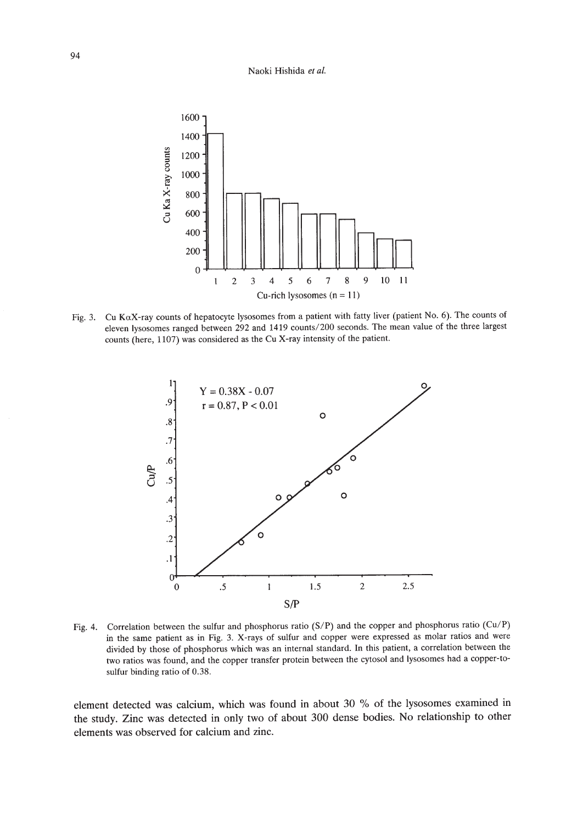#### Naoki Hishida *et al.*



Fig. 3. Cu KaX-ray counts of hepatocyte lysosomes from a patient with fatty liver (patient No.6). The counts of eleven Iysosomes ranged between 292 and 1419 counts/2oo seconds. The mean value of the three largest counts (here, 1107) was considered as the Cu X-ray intensity of the patient.



Fig. 4. Correlation between the sulfur and phosphorus ratio (S/P) and the copper and phosphorus ratio (Cu/P) in the same patient as in Fig. 3. X-rays of sulfur and copper were expressed as molar ratios and were divided by those of phosphorus which was an internal standard. In this patient, a correlation between the two ratios was found, and the copper transfer protein between the cytosol and Iysosomes had a copper-tosulfur binding ratio of 0.38.

element detected was calcium, which was found in about 30 % of the Iysosomes examined in the study. Zinc was detected in only two of about 300 dense bodies. No relationship to other elements was observed for calcium and zinc.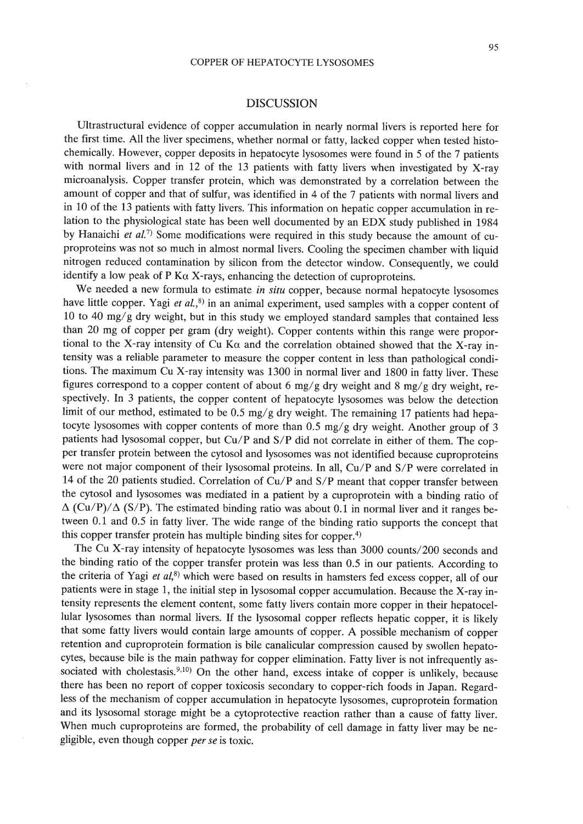# DISCUSSION

Ultrastructural evidence of copper accumulation in nearly normal livers is reported here for the first time. All the liver specimens, whether normal or fatty, lacked copper when tested histochemically. However, copper deposits in hepatocyte lysosomes were found in 5 of the 7 patients with normal livers and in 12 of the 13 patients with fatty livers when investigated by X-ray microanalysis. Copper transfer protein, which was demonstrated by a correlation between the amount of copper and that of sulfur, was identified in 4 of the 7 patients with normal livers and in 10 of the 13 patients with fatty livers. This information on hepatic copper accumulation in relation to the physiological state has been well documented by an EDX study published in 1984 by Hanaichi et al.<sup>7)</sup> Some modifications were required in this study because the amount of cuproproteins was not so much in almost normal livers. Cooling the specimen chamber with liquid nitrogen reduced contamination by silicon from the detector window. Consequently, we could identify a low peak of P K $\alpha$  X-rays, enhancing the detection of cuproproteins.

We needed a new formula to estimate *in situ* copper, because normal hepatocyte lysosomes have little copper. Yagi et  $al$ , $8$ ) in an animal experiment, used samples with a copper content of 10 to 40 *mgl*g dry weight, but in this study we employed standard samples that contained less than 20 mg of copper per gram (dry weight). Copper contents within this range were proportional to the X-ray intensity of Cu K $\alpha$  and the correlation obtained showed that the X-ray intensity was a reliable parameter to measure the copper content in less than pathological conditions. The maximum Cu X-ray intensity was 1300 in normal liver and 1800 in fatty liver. These figures correspond to a copper content of about 6 mg/g dry weight and 8 mg/g dry weight, respectively. In 3 patients, the copper content of hepatocyte lysosomes was below the detection limit of our method, estimated to be 0.5 mg/g dry weight. The remaining 17 patients had hepatocyte lysosomes with copper contents of more than 0.5 *mg/g* dry weight. Another group of 3 patients had lysosomal copper, but *Cu/P* and *S/P* did not correlate in either of them. The copper transfer protein between the cytosol and lysosomes was not identified because cuproproteins were not major component of their lysosomal proteins. In all, Cu/P and S/P were correlated in 14 of the 20 patients studied. Correlation of *Cu/P* and *SIP* meant that copper transfer between the cytosol and lysosomes was mediated in a patient by a cuproprotein with a binding ratio of  $\Delta$  (Cu/P)/ $\Delta$  (S/P). The estimated binding ratio was about 0.1 in normal liver and it ranges between 0.1 and 0.5 in fatty liver. The wide range of the binding ratio supports the concept that this copper transfer protein has multiple binding sites for copper.<sup>4)</sup>

The Cu X-ray intensity of hepatocyte lysosomes was less than 3000 counts/200 seconds and the binding ratio of the copper transfer protein was less than 0.5 in our patients. According to the criteria of Yagi et  $al$ ,<sup>8)</sup> which were based on results in hamsters fed excess copper, all of our patients were in stage 1, the initial step in lysosomal copper accumulation. Because the X-ray intensity represents the element content, some fatty livers contain more copper in their hepatocellular lysosomes than normal livers. If the lysosomal copper reflects hepatic copper, it is likely that some fatty livers would contain large amounts of copper. A possible mechanism of copper retention and cuproprotein formation is bile canalicular compression caused by swollen hepatocytes, because bile is the main pathway for copper elimination. Fatty liver is not infrequently associated with cholestasis.<sup>9,10</sup> On the other hand, excess intake of copper is unlikely, because there has been no report of copper toxicosis secondary to copper-rich foods in Japan. Regardless of the mechanism of copper accumulation in hepatocyte lysosomes, cuproprotein formation and its lysosomal storage might be a cytoprotective reaction rather than a cause of fatty liver. When much cuproproteins are formed, the probability of cell damage in fatty liver may be negligible, even though copper *perse* is toxic.